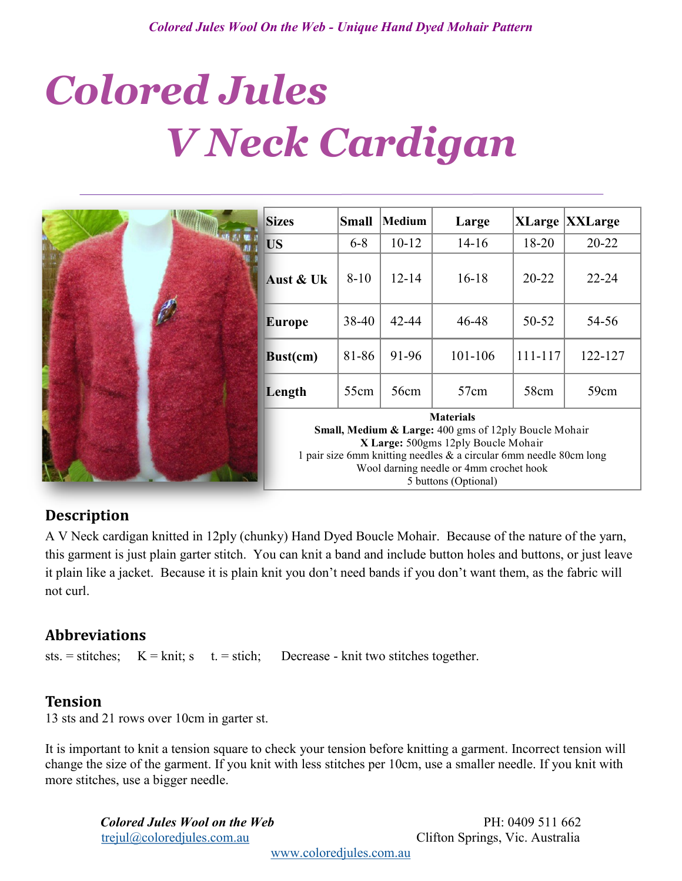# *Colored Jules V Neck Cardigan*

|  | <b>Sizes</b>                                                                                                                                                                                                                         | Small    | Medium    | Large     |           | <b>XLarge XXLarge</b> |
|--|--------------------------------------------------------------------------------------------------------------------------------------------------------------------------------------------------------------------------------------|----------|-----------|-----------|-----------|-----------------------|
|  | <b>US</b>                                                                                                                                                                                                                            | $6 - 8$  | $10 - 12$ | $14 - 16$ | 18-20     | $20 - 22$             |
|  | Aust & Uk                                                                                                                                                                                                                            | $8 - 10$ | $12 - 14$ | $16 - 18$ | $20 - 22$ | $22 - 24$             |
|  | <b>Europe</b>                                                                                                                                                                                                                        | 38-40    | $42 - 44$ | 46-48     | 50-52     | 54-56                 |
|  | Bust(cm)                                                                                                                                                                                                                             | 81-86    | 91-96     | 101-106   | 111-117   | 122-127               |
|  | Length                                                                                                                                                                                                                               | 55cm     | 56cm      | 57cm      | 58cm      | 59cm                  |
|  | <b>Materials</b><br>Small, Medium & Large: 400 gms of 12ply Boucle Mohair<br>X Large: 500gms 12ply Boucle Mohair<br>1 pair size 6mm knitting needles $\&$ a circular 6mm needle 80cm long<br>Wool darning needle or 4mm crochet hook |          |           |           |           |                       |
|  | 5 buttons (Optional)                                                                                                                                                                                                                 |          |           |           |           |                       |

# **Description**

A V Neck cardigan knitted in 12ply (chunky) Hand Dyed Boucle Mohair. Because of the nature of the yarn, this garment is just plain garter stitch. You can knit a band and include button holes and buttons, or just leave it plain like a jacket. Because it is plain knit you don't need bands if you don't want them, as the fabric will not curl.

# **Abbreviations**

sts. = stitches;  $K = \text{knit}$ ; s t. = stich; Decrease - knit two stitches together.

# **Tension**

13 sts and 21 rows over 10cm in garter st.

It is important to knit a tension square to check your tension before knitting a garment. Incorrect tension will change the size of the garment. If you knit with less stitches per 10cm, use a smaller needle. If you knit with more stitches, use a bigger needle.

*Colored Jules Wool on the Web* PH: 0409 511 662 [trejul@coloredjules.com.au](mailto:trejul@coloredjules.com.au) Clifton Springs, Vic. Australia

[www.coloredjules.com.au](http://www.coloredjules.com.au/)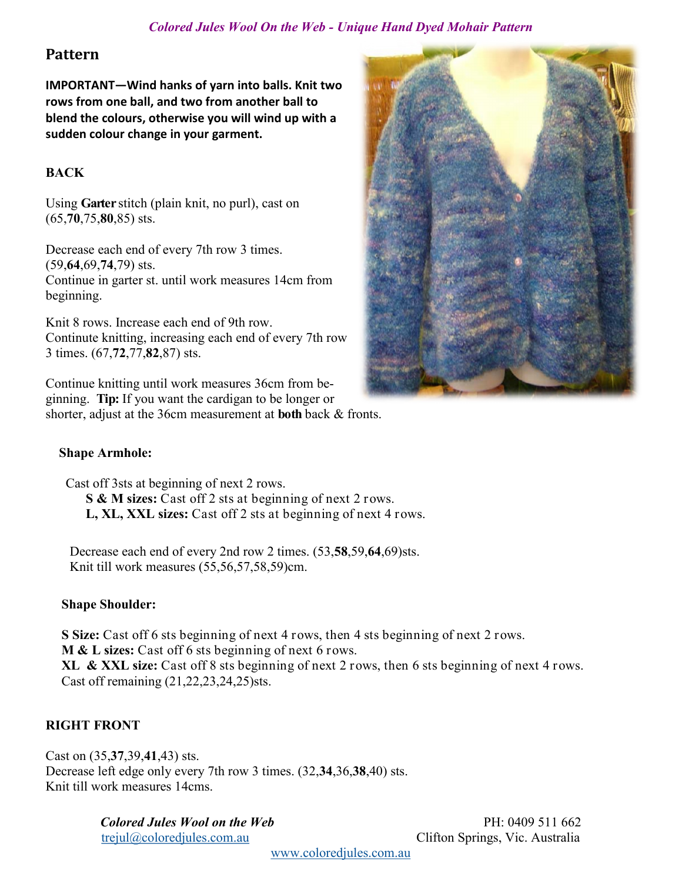## *Colored Jules Wool On the Web - [Unique Hand Dyed Mohair Pattern](mailto:trejul@coloredjules.com.au)*

## **Pattern**

**IMPORTANT—Wind hanks of yarn into balls. Knit two rows from one ball, and two from another ball to blend the colours, otherwise you will wind up with a sudden colour change in your garment.**

## **BACK**

Using **Garter** stitch (plain knit, no purl), cast on (65,**70**,75,**80**,85) sts.

Decrease each end of every 7th row 3 times. (59,**64**,69,**74**,79) sts. Continue in garter st. until work measures 14cm from beginning.

Knit 8 rows. Increase each end of 9th row. Continute knitting, increasing each end of every 7th row 3 times. (67,**72**,77,**82**,87) sts.

Continue knitting until work measures 36cm from beginning. **Tip:** If you want the cardigan to be longer or shorter, adjust at the 36cm measurement at **both** back & fronts.



## **Shape Armhole:**

 Cast off 3sts at beginning of next 2 rows. **S & M sizes:** Cast off 2 sts at beginning of next 2 rows. **L, XL, XXL sizes:** Cast off 2 sts at beginning of next 4 rows.

Decrease each end of every 2nd row 2 times. (53,**58**,59,**64**,69)sts. Knit till work measures (55,56,57,58,59)cm.

## **Shape Shoulder:**

**S Size:** Cast off 6 sts beginning of next 4 rows, then 4 sts beginning of next 2 rows. **M & L sizes:** Cast off 6 sts beginning of next 6 rows. **XL & XXL size:** Cast off 8 sts beginning of next 2 rows, then 6 sts beginning of next 4 rows. Cast off remaining (21,22,23,24,25)sts.

## **RIGHT FRONT**

Cast on (35,**37**,39,**41**,43) sts. Decrease left edge only every 7th row 3 times. (32,**34**,36,**38**,40) sts. Knit till work measures 14cms.

> *Colored Jules Wool on the Web* PH: 0409 511 662 [trejul@coloredjules.com.au](mailto:trejul@coloredjules.com.au) Clifton Springs, Vic. Australia

[www.coloredjules.com.au](http://www.coloredjules.com.au/)